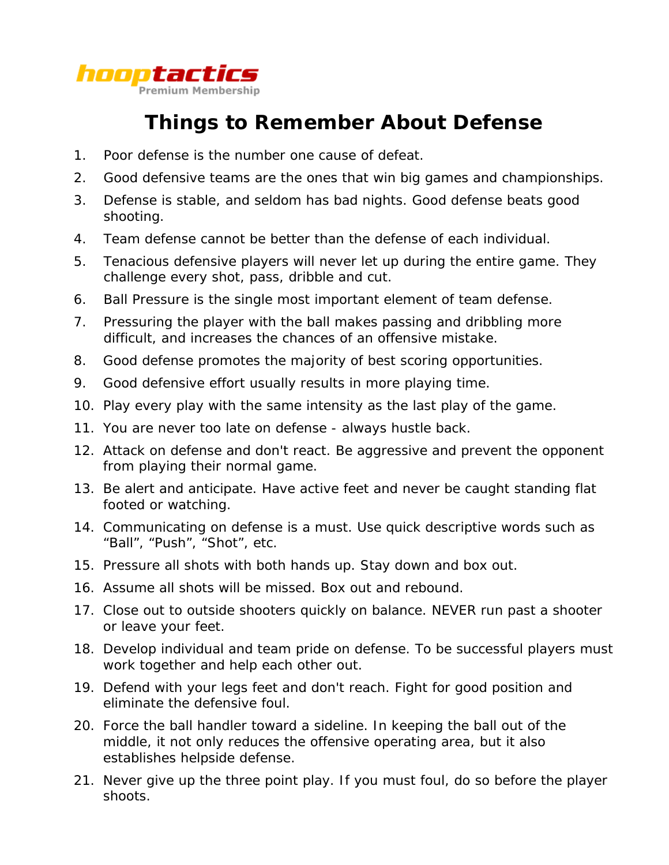

## **Things to Remember About Defense**

- 1. Poor defense is the number one cause of defeat.
- 2. Good defensive teams are the ones that win big games and championships.
- 3. Defense is stable, and seldom has bad nights. Good defense beats good shooting.
- 4. Team defense cannot be better than the defense of each individual.
- 5. Tenacious defensive players will never let up during the entire game. They challenge every shot, pass, dribble and cut.
- 6. Ball Pressure is the single most important element of team defense.
- 7. Pressuring the player with the ball makes passing and dribbling more difficult, and increases the chances of an offensive mistake.
- 8. Good defense promotes the majority of best scoring opportunities.
- 9. Good defensive effort usually results in more playing time.
- 10. Play every play with the same intensity as the last play of the game.
- 11. You are never too late on defense always hustle back.
- 12. Attack on defense and don't react. Be aggressive and prevent the opponent from playing their normal game.
- 13. Be alert and anticipate. Have active feet and never be caught standing flat footed or watching.
- 14. Communicating on defense is a must. Use quick descriptive words such as "Ball", "Push", "Shot", etc.
- 15. Pressure all shots with both hands up. Stay down and box out.
- 16. Assume all shots will be missed. Box out and rebound.
- 17. Close out to outside shooters quickly on balance. NEVER run past a shooter or leave your feet.
- 18. Develop individual and team pride on defense. To be successful players must work together and help each other out.
- 19. Defend with your legs feet and don't reach. Fight for good position and eliminate the defensive foul.
- 20. Force the ball handler toward a sideline. In keeping the ball out of the middle, it not only reduces the offensive operating area, but it also establishes helpside defense.
- 21. Never give up the three point play. If you must foul, do so before the player shoots.